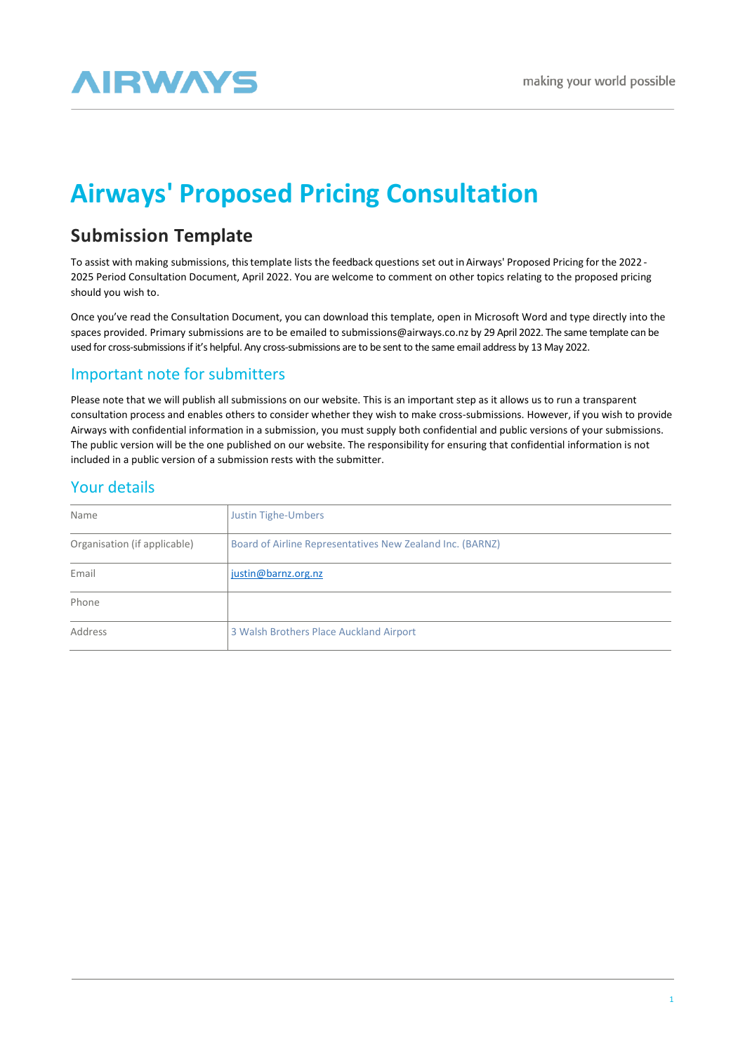# **AIRWAYS**

## **Airways' Proposed Pricing Consultation**

## **Submission Template**

To assist with making submissions, thistemplate lists the feedback questions set out in Airways' Proposed Pricing for the 2022 - 2025 Period Consultation Document, April 2022. You are welcome to comment on other topics relating to the proposed pricing should you wish to.

Once you've read the Consultation Document, you can download this template, open in Microsoft Word and type directly into the spaces provided. Primary submissions are to be emailed to [submissions@airways.co.nz](mailto:submissions@airways.co.nz) by 29 April 2022. The same template can be used for cross-submissions if it's helpful. Any cross-submissions are to be sent to the same email address by 13 May 2022.

## Important note for submitters

Please note that we will publish all submissions on our website. This is an important step as it allows us to run a transparent consultation process and enables others to consider whether they wish to make cross-submissions. However, if you wish to provide Airways with confidential information in a submission, you must supply both confidential and public versions of your submissions. The public version will be the one published on our website. The responsibility for ensuring that confidential information is not included in a public version of a submission rests with the submitter.

## Your details

| Name                         | <b>Justin Tighe-Umbers</b>                                |
|------------------------------|-----------------------------------------------------------|
| Organisation (if applicable) | Board of Airline Representatives New Zealand Inc. (BARNZ) |
| Email                        | justin@barnz.org.nz                                       |
| Phone                        |                                                           |
| Address                      | 3 Walsh Brothers Place Auckland Airport                   |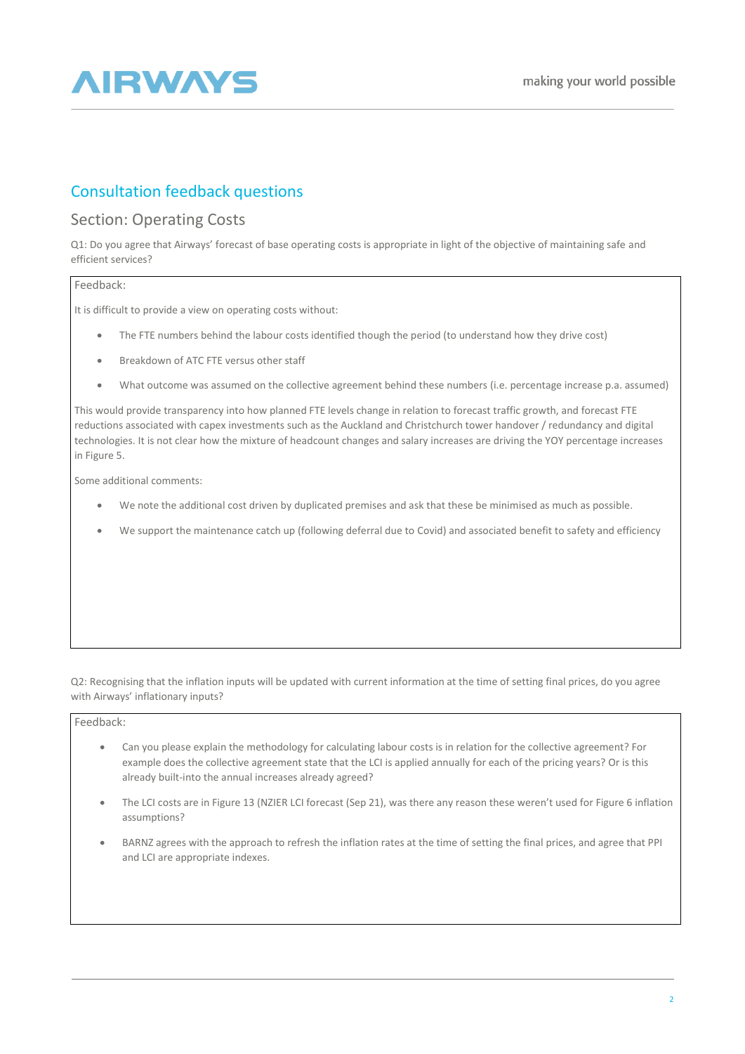

## Consultation feedback questions

### Section: Operating Costs

Q1: Do you agree that Airways' forecast of base operating costs is appropriate in light of the objective of maintaining safe and efficient services?

#### Feedback:

It is difficult to provide a view on operating costs without:

- The FTE numbers behind the labour costs identified though the period (to understand how they drive cost)
- Breakdown of ATC FTE versus other staff
- What outcome was assumed on the collective agreement behind these numbers (i.e. percentage increase p.a. assumed)

This would provide transparency into how planned FTE levels change in relation to forecast traffic growth, and forecast FTE reductions associated with capex investments such as the Auckland and Christchurch tower handover / redundancy and digital technologies. It is not clear how the mixture of headcount changes and salary increases are driving the YOY percentage increases in Figure 5.

Some additional comments:

- We note the additional cost driven by duplicated premises and ask that these be minimised as much as possible.
- We support the maintenance catch up (following deferral due to Covid) and associated benefit to safety and efficiency

Q2: Recognising that the inflation inputs will be updated with current information at the time of setting final prices, do you agree with Airways' inflationary inputs?

#### Feedback:

- Can you please explain the methodology for calculating labour costs is in relation for the collective agreement? For example does the collective agreement state that the LCI is applied annually for each of the pricing years? Or is this already built-into the annual increases already agreed?
- The LCI costs are in Figure 13 (NZIER LCI forecast (Sep 21), was there any reason these weren't used for Figure 6 inflation assumptions?
- BARNZ agrees with the approach to refresh the inflation rates at the time of setting the final prices, and agree that PPI and LCI are appropriate indexes.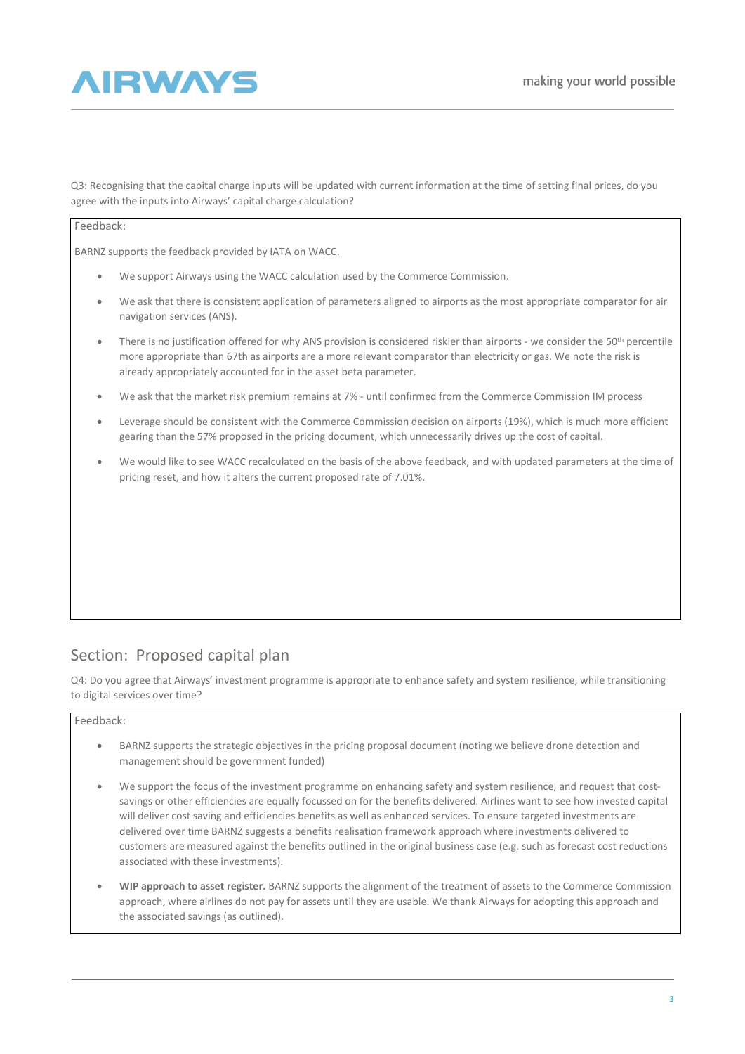## **AIRWAYS**

Q3: Recognising that the capital charge inputs will be updated with current information at the time of setting final prices, do you agree with the inputs into Airways' capital charge calculation?

#### Feedback:

BARNZ supports the feedback provided by IATA on WACC.

- We support Airways using the WACC calculation used by the Commerce Commission.
- We ask that there is consistent application of parameters aligned to airports as the most appropriate comparator for air navigation services (ANS).
- There is no justification offered for why ANS provision is considered riskier than airports we consider the 50<sup>th</sup> percentile more appropriate than 67th as airports are a more relevant comparator than electricity or gas. We note the risk is already appropriately accounted for in the asset beta parameter.
- We ask that the market risk premium remains at 7% until confirmed from the Commerce Commission IM process
- Leverage should be consistent with the Commerce Commission decision on airports (19%), which is much more efficient gearing than the 57% proposed in the pricing document, which unnecessarily drives up the cost of capital.
- We would like to see WACC recalculated on the basis of the above feedback, and with updated parameters at the time of pricing reset, and how it alters the current proposed rate of 7.01%.

## Section: Proposed capital plan

Q4: Do you agree that Airways' investment programme is appropriate to enhance safety and system resilience, while transitioning to digital services over time?

#### Feedback:

- BARNZ supports the strategic objectives in the pricing proposal document (noting we believe drone detection and management should be government funded)
- We support the focus of the investment programme on enhancing safety and system resilience, and request that costsavings or other efficiencies are equally focussed on for the benefits delivered. Airlines want to see how invested capital will deliver cost saving and efficiencies benefits as well as enhanced services. To ensure targeted investments are delivered over time BARNZ suggests a benefits realisation framework approach where investments delivered to customers are measured against the benefits outlined in the original business case (e.g. such as forecast cost reductions associated with these investments).
- **WIP approach to asset register.** BARNZ supports the alignment of the treatment of assets to the Commerce Commission approach, where airlines do not pay for assets until they are usable. We thank Airways for adopting this approach and the associated savings (as outlined).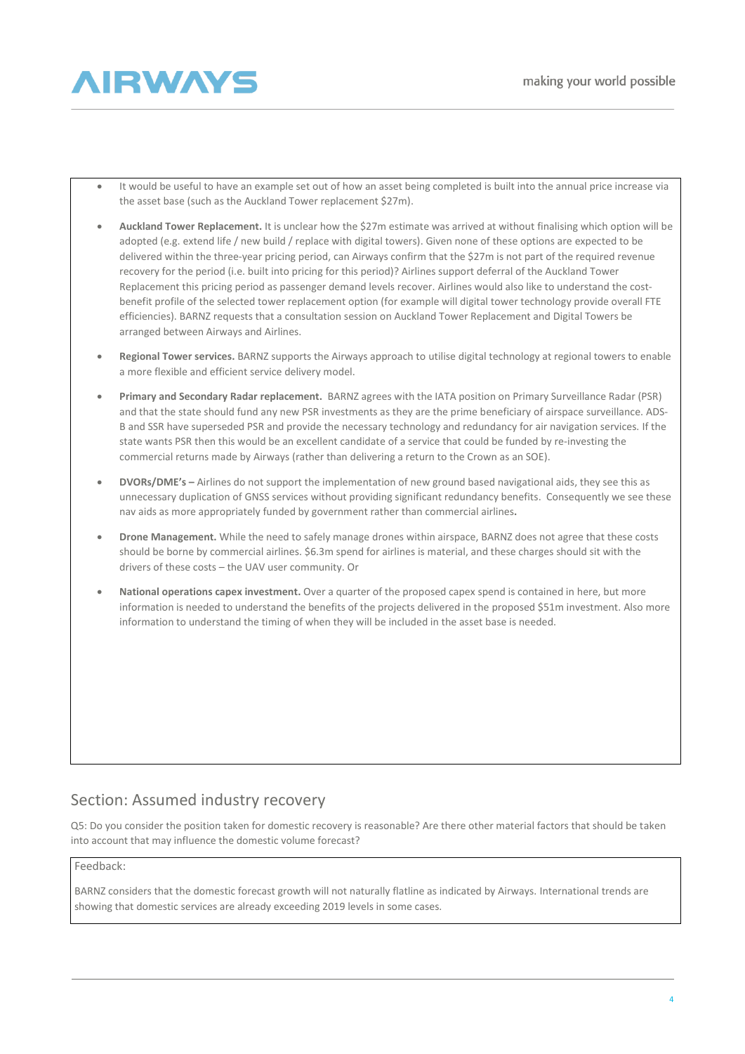

- It would be useful to have an example set out of how an asset being completed is built into the annual price increase via the asset base (such as the Auckland Tower replacement \$27m).
- **Auckland Tower Replacement.** It is unclear how the \$27m estimate was arrived at without finalising which option will be adopted (e.g. extend life / new build / replace with digital towers). Given none of these options are expected to be delivered within the three-year pricing period, can Airways confirm that the \$27m is not part of the required revenue recovery for the period (i.e. built into pricing for this period)? Airlines support deferral of the Auckland Tower Replacement this pricing period as passenger demand levels recover. Airlines would also like to understand the costbenefit profile of the selected tower replacement option (for example will digital tower technology provide overall FTE efficiencies). BARNZ requests that a consultation session on Auckland Tower Replacement and Digital Towers be arranged between Airways and Airlines.
- **Regional Tower services.** BARNZ supports the Airways approach to utilise digital technology at regional towers to enable a more flexible and efficient service delivery model.
- **Primary and Secondary Radar replacement.** BARNZ agrees with the IATA position on Primary Surveillance Radar (PSR) and that the state should fund any new PSR investments as they are the prime beneficiary of airspace surveillance. ADS-B and SSR have superseded PSR and provide the necessary technology and redundancy for air navigation services. If the state wants PSR then this would be an excellent candidate of a service that could be funded by re-investing the commercial returns made by Airways (rather than delivering a return to the Crown as an SOE).
- **DVORs/DME's –** Airlines do not support the implementation of new ground based navigational aids, they see this as unnecessary duplication of GNSS services without providing significant redundancy benefits. Consequently we see these nav aids as more appropriately funded by government rather than commercial airlines**.**
- **Drone Management.** While the need to safely manage drones within airspace, BARNZ does not agree that these costs should be borne by commercial airlines. \$6.3m spend for airlines is material, and these charges should sit with the drivers of these costs – the UAV user community. Or
- **National operations capex investment.** Over a quarter of the proposed capex spend is contained in here, but more information is needed to understand the benefits of the projects delivered in the proposed \$51m investment. Also more information to understand the timing of when they will be included in the asset base is needed.

## Section: Assumed industry recovery

Q5: Do you consider the position taken for domestic recovery is reasonable? Are there other material factors that should be taken into account that may influence the domestic volume forecast?

#### Feedback:

BARNZ considers that the domestic forecast growth will not naturally flatline as indicated by Airways. International trends are showing that domestic services are already exceeding 2019 levels in some cases.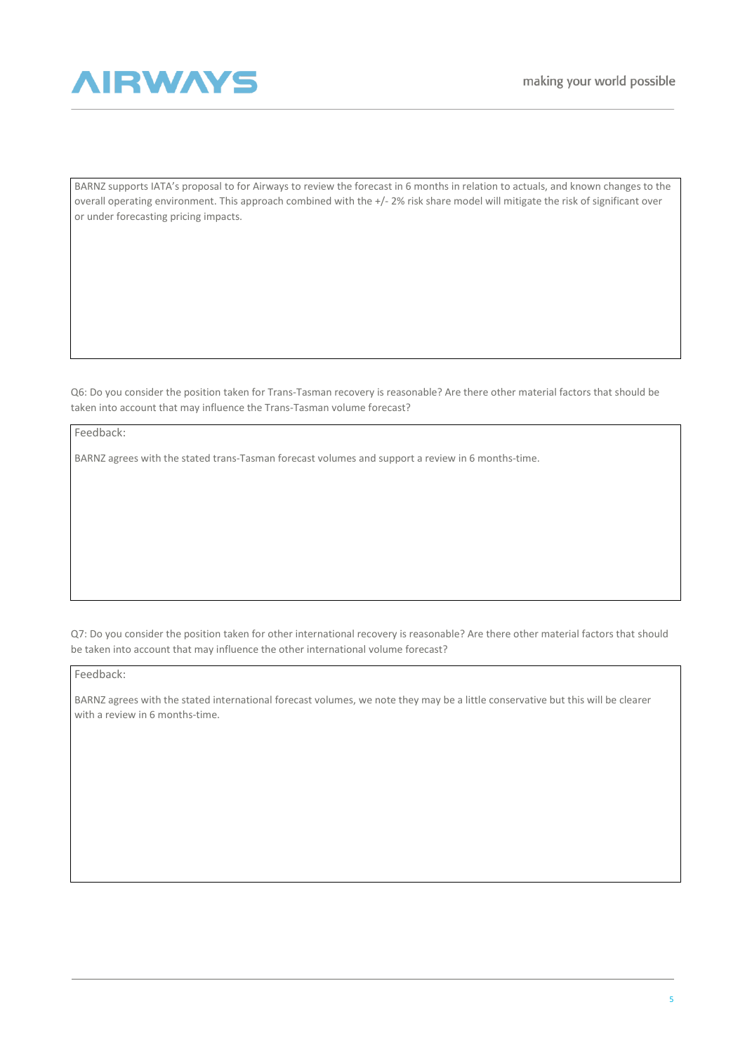

BARNZ supports IATA's proposal to for Airways to review the forecast in 6 months in relation to actuals, and known changes to the overall operating environment. This approach combined with the +/- 2% risk share model will mitigate the risk of significant over or under forecasting pricing impacts.

Q6: Do you consider the position taken for Trans-Tasman recovery is reasonable? Are there other material factors that should be taken into account that may influence the Trans-Tasman volume forecast?

Feedback:

BARNZ agrees with the stated trans-Tasman forecast volumes and support a review in 6 months-time.

Q7: Do you consider the position taken for other international recovery is reasonable? Are there other material factors that should be taken into account that may influence the other international volume forecast?

Feedback:

BARNZ agrees with the stated international forecast volumes, we note they may be a little conservative but this will be clearer with a review in 6 months-time.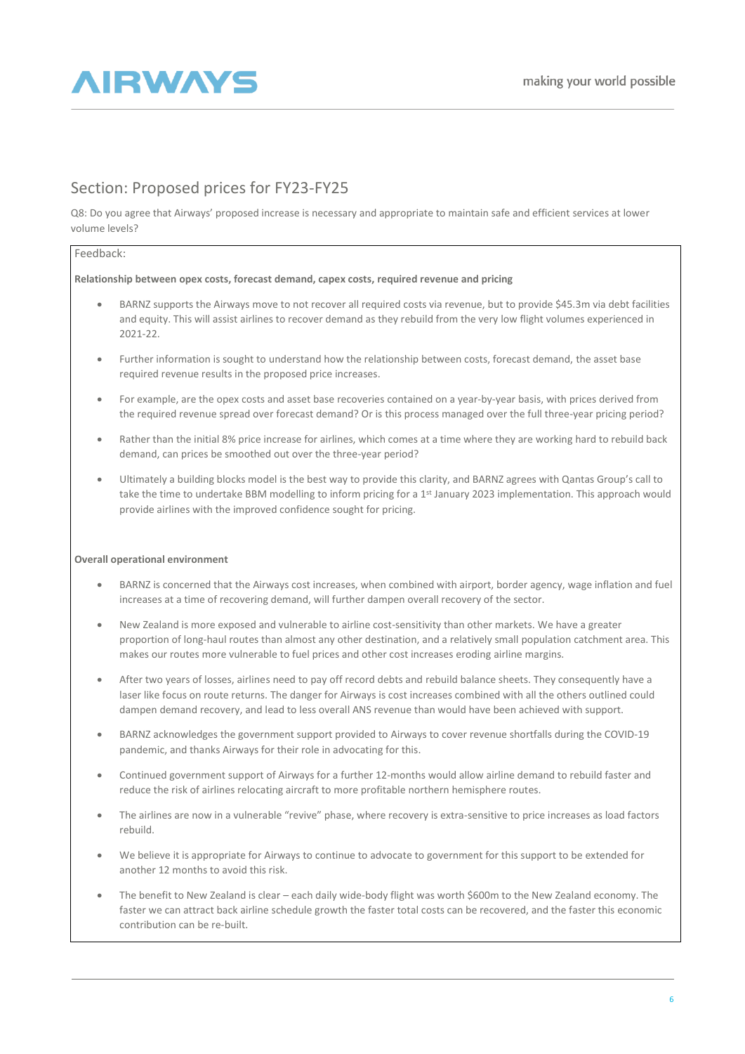

## Section: Proposed prices for FY23-FY25

Q8: Do you agree that Airways' proposed increase is necessary and appropriate to maintain safe and efficient services at lower volume levels?

#### Feedback:

#### **Relationship between opex costs, forecast demand, capex costs, required revenue and pricing**

- BARNZ supports the Airways move to not recover all required costs via revenue, but to provide \$45.3m via debt facilities and equity. This will assist airlines to recover demand as they rebuild from the very low flight volumes experienced in 2021-22.
- Further information is sought to understand how the relationship between costs, forecast demand, the asset base required revenue results in the proposed price increases.
- For example, are the opex costs and asset base recoveries contained on a year-by-year basis, with prices derived from the required revenue spread over forecast demand? Or is this process managed over the full three-year pricing period?
- Rather than the initial 8% price increase for airlines, which comes at a time where they are working hard to rebuild back demand, can prices be smoothed out over the three-year period?
- Ultimately a building blocks model is the best way to provide this clarity, and BARNZ agrees with Qantas Group's call to take the time to undertake BBM modelling to inform pricing for a 1<sup>st</sup> January 2023 implementation. This approach would provide airlines with the improved confidence sought for pricing.

#### **Overall operational environment**

- BARNZ is concerned that the Airways cost increases, when combined with airport, border agency, wage inflation and fuel increases at a time of recovering demand, will further dampen overall recovery of the sector.
- New Zealand is more exposed and vulnerable to airline cost-sensitivity than other markets. We have a greater proportion of long-haul routes than almost any other destination, and a relatively small population catchment area. This makes our routes more vulnerable to fuel prices and other cost increases eroding airline margins.
- After two years of losses, airlines need to pay off record debts and rebuild balance sheets. They consequently have a laser like focus on route returns. The danger for Airways is cost increases combined with all the others outlined could dampen demand recovery, and lead to less overall ANS revenue than would have been achieved with support.
- BARNZ acknowledges the government support provided to Airways to cover revenue shortfalls during the COVID-19 pandemic, and thanks Airways for their role in advocating for this.
- Continued government support of Airways for a further 12-months would allow airline demand to rebuild faster and reduce the risk of airlines relocating aircraft to more profitable northern hemisphere routes.
- The airlines are now in a vulnerable "revive" phase, where recovery is extra-sensitive to price increases as load factors rebuild.
- We believe it is appropriate for Airways to continue to advocate to government for this support to be extended for another 12 months to avoid this risk.
- The benefit to New Zealand is clear each daily wide-body flight was worth \$600m to the New Zealand economy. The faster we can attract back airline schedule growth the faster total costs can be recovered, and the faster this economic contribution can be re-built.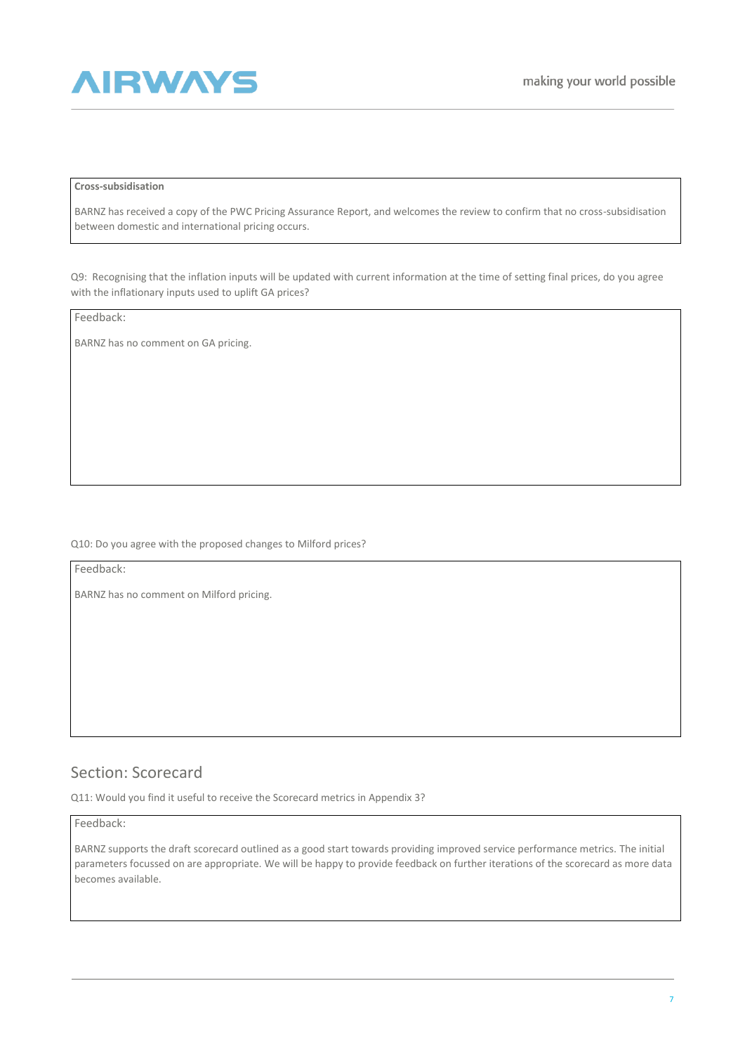

#### **Cross-subsidisation**

BARNZ has received a copy of the PWC Pricing Assurance Report, and welcomes the review to confirm that no cross-subsidisation between domestic and international pricing occurs.

Q9: Recognising that the inflation inputs will be updated with current information at the time of setting final prices, do you agree with the inflationary inputs used to uplift GA prices?

Feedback:

BARNZ has no comment on GA pricing.

Q10: Do you agree with the proposed changes to Milford prices?

Feedback:

BARNZ has no comment on Milford pricing.

## Section: Scorecard

Q11: Would you find it useful to receive the Scorecard metrics in Appendix 3?

Feedback:

BARNZ supports the draft scorecard outlined as a good start towards providing improved service performance metrics. The initial parameters focussed on are appropriate. We will be happy to provide feedback on further iterations of the scorecard as more data becomes available.